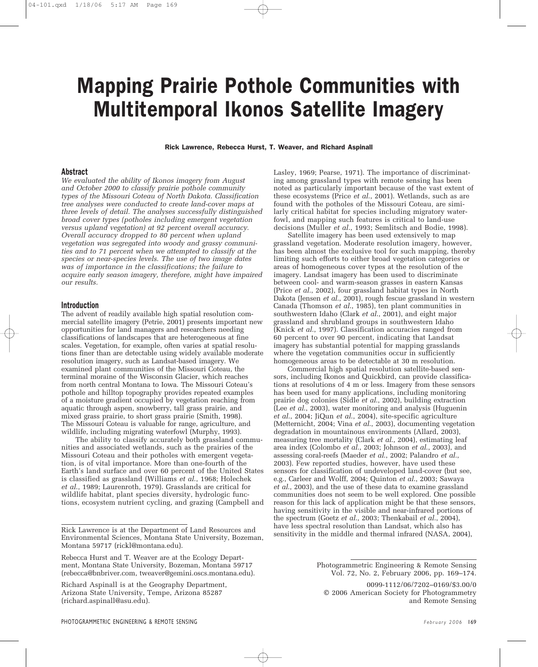# Mapping Prairie Pothole Communities with Multitemporal Ikonos Satellite Imagery

Rick Lawrence, Rebecca Hurst, T. Weaver, and Richard Aspinall

#### Abstract

*We evaluated the ability of Ikonos imagery from August and October 2000 to classify prairie pothole community types of the Missouri Coteau of North Dakota. Classification tree analyses were conducted to create land-cover maps at three levels of detail. The analyses successfully distinguished broad cover types (potholes including emergent vegetation versus upland vegetation) at 92 percent overall accuracy. Overall accuracy dropped to 80 percent when upland vegetation was segregated into woody and grassy communities and to 71 percent when we attempted to classify at the species or near-species levels. The use of two image dates was of importance in the classifications; the failure to acquire early season imagery, therefore, might have impaired our results.*

#### Introduction

The advent of readily available high spatial resolution commercial satellite imagery (Petrie, 2001) presents important new opportunities for land managers and researchers needing classifications of landscapes that are heterogeneous at fine scales. Vegetation, for example, often varies at spatial resolutions finer than are detectable using widely available moderate resolution imagery, such as Landsat-based imagery. We examined plant communities of the Missouri Coteau, the terminal moraine of the Wisconsin Glacier, which reaches from north central Montana to Iowa. The Missouri Coteau's pothole and hilltop topography provides repeated examples of a moisture gradient occupied by vegetation reaching from aquatic through aspen, snowberry, tall grass prairie, and mixed grass prairie, to short grass prairie (Smith, 1998). The Missouri Coteau is valuable for range, agriculture, and wildlife, including migrating waterfowl (Murphy, 1993).

The ability to classify accurately both grassland communities and associated wetlands, such as the prairies of the Missouri Coteau and their potholes with emergent vegetation, is of vital importance. More than one-fourth of the Earth's land surface and over 60 percent of the United States is classified as grassland (Williams *et al*., 1968; Holechek *et al*., 1989; Laurenroth, 1979). Grasslands are critical for wildlife habitat, plant species diversity, hydrologic functions, ecosystem nutrient cycling, and grazing (Campbell and

Richard Aspinall is at the Geography Department, Arizona State University, Tempe, Arizona 85287 (richard.aspinall@asu.edu).

Lasley, 1969; Pearse, 1971). The importance of discriminating among grassland types with remote sensing has been noted as particularly important because of the vast extent of these ecosystems (Price *et al*., 2001). Wetlands, such as are found with the potholes of the Missouri Coteau, are similarly critical habitat for species including migratory waterfowl, and mapping such features is critical to land-use decisions (Muller *et al*., 1993; Semlitsch and Bodie, 1998).

Satellite imagery has been used extensively to map grassland vegetation. Moderate resolution imagery, however, has been almost the exclusive tool for such mapping, thereby limiting such efforts to either broad vegetation categories or areas of homogeneous cover types at the resolution of the imagery. Landsat imagery has been used to discriminate between cool- and warm-season grasses in eastern Kansas (Price *et al*., 2002), four grassland habitat types in North Dakota (Jensen *et al*., 2001), rough fescue grassland in western Canada (Thomson *et al*., 1985), ten plant communities in southwestern Idaho (Clark *et al*., 2001), and eight major grassland and shrubland groups in southwestern Idaho (Knick *et al*., 1997). Classification accuracies ranged from 60 percent to over 90 percent, indicating that Landsat imagery has substantial potential for mapping grasslands where the vegetation communities occur in sufficiently homogeneous areas to be detectable at 30 m resolution.

Commercial high spatial resolution satellite-based sensors, including Ikonos and Quickbird, can provide classifications at resolutions of 4 m or less. Imagery from these sensors has been used for many applications, including monitoring prairie dog colonies (Sidle *et al*., 2002), building extraction (Lee *et al*., 2003), water monitoring and analysis (Huguenin *et al*., 2004; JiQun *et al*., 2004), site-specific agriculture (Metternicht, 2004; Vina *et al*., 2003), documenting vegetation degradation in mountainous environments (Allard, 2003), measuring tree mortality (Clark *et al*., 2004), estimating leaf area index (Colombo *et al*., 2003; Johnson *et al*., 2003), and assessing coral-reefs (Maeder *et al*., 2002; Palandro *et al*., 2003). Few reported studies, however, have used these sensors for classification of undeveloped land-cover (but see, e.g., Carleer and Wolff, 2004; Quinton *et al*., 2003; Sawaya *et al*., 2003), and the use of these data to examine grassland communities does not seem to be well explored. One possible reason for this lack of application might be that these sensors, having sensitivity in the visible and near-infrared portions of the spectrum (Goetz *et al*., 2003; Thenkabail *et al*., 2004), have less spectral resolution than Landsat, which also has sensitivity in the middle and thermal infrared (NASA, 2004),

Rick Lawrence is at the Department of Land Resources and Environmental Sciences, Montana State University, Bozeman, Montana 59717 (rickl@montana.edu).

Rebecca Hurst and T. Weaver are at the Ecology Department, Montana State University, Bozeman, Montana 59717 (rebecca@bnbriver.com, tweaver@gemini.oscs.montana.edu).

Photogrammetric Engineering & Remote Sensing Vol. 72, No. 2, February 2006, pp. 169–174.

<sup>0099-1112/06/7202–0169/\$3.00/0</sup> © 2006 American Society for Photogrammetry and Remote Sensing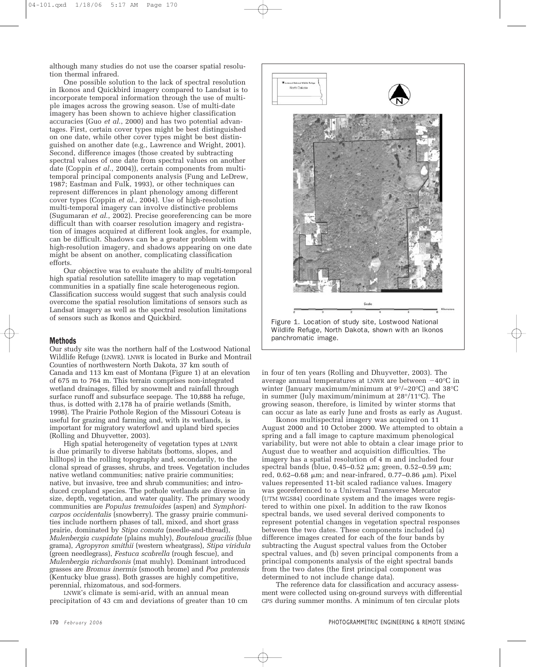although many studies do not use the coarser spatial resolution thermal infrared.

One possible solution to the lack of spectral resolution in Ikonos and Quickbird imagery compared to Landsat is to incorporate temporal information through the use of multiple images across the growing season. Use of multi-date imagery has been shown to achieve higher classification accuracies (Guo *et al*., 2000) and has two potential advantages. First, certain cover types might be best distinguished on one date, while other cover types might be best distinguished on another date (e.g., Lawrence and Wright, 2001). Second, difference images (those created by subtracting spectral values of one date from spectral values on another date (Coppin *et al*., 2004)), certain components from multitemporal principal components analysis (Fung and LeDrew, 1987; Eastman and Fulk, 1993), or other techniques can represent differences in plant phenology among different cover types (Coppin *et al*., 2004). Use of high-resolution multi-temporal imagery can involve distinctive problems (Sugumaran *et al*., 2002). Precise georeferencing can be more difficult than with coarser resolution imagery and registration of images acquired at different look angles, for example, can be difficult. Shadows can be a greater problem with high-resolution imagery, and shadows appearing on one date might be absent on another, complicating classification efforts.

Our objective was to evaluate the ability of multi-temporal high spatial resolution satellite imagery to map vegetation communities in a spatially fine scale heterogeneous region. Classification success would suggest that such analysis could overcome the spatial resolution limitations of sensors such as Landsat imagery as well as the spectral resolution limitations of sensors such as Ikonos and Quickbird.

# Methods

Our study site was the northern half of the Lostwood National Wildlife Refuge (LNWR). LNWR is located in Burke and Montrail Counties of northwestern North Dakota, 37 km south of Canada and 113 km east of Montana (Figure 1) at an elevation of 675 m to 764 m. This terrain comprises non-integrated wetland drainages, filled by snowmelt and rainfall through surface runoff and subsurface seepage. The 10,888 ha refuge, thus, is dotted with 2,178 ha of prairie wetlands (Smith, 1998). The Prairie Pothole Region of the Missouri Coteau is useful for grazing and farming and, with its wetlands, is important for migratory waterfowl and upland bird species (Rolling and Dhuyvetter, 2003).

High spatial heterogeneity of vegetation types at LNWR is due primarily to diverse habitats (bottoms, slopes, and hilltops) in the rolling topography and, secondarily, to the clonal spread of grasses, shrubs, and trees. Vegetation includes native wetland communities; native prairie communities; native, but invasive, tree and shrub communities; and introduced cropland species. The pothole wetlands are diverse in size, depth, vegetation, and water quality. The primary woody communities are *Populus tremuloides* (aspen) and *Symphoricarpos occidentalis* (snowberry). The grassy prairie communities include northern phases of tall, mixed, and short grass prairie, dominated by *Stipa comata* (needle-and-thread), *Mulenbergia cuspidate* (plains muhly), *Bouteloua gracilis* (blue grama), *Agropyron smithii* (western wheatgrass), *Stipa viridula* (green needlegrass), *Festuca scabrella* (rough fescue), and *Mulenbergia richardsonis* (mat muhly). Dominant introduced grasses are *Bromus inermis* (smooth brome) and *Poa pratensis* (Kentucky blue grass). Both grasses are highly competitive, perennial, rhizomatous, and sod-formers.

LNWR's climate is semi-arid, with an annual mean precipitation of 43 cm and deviations of greater than 10 cm



Wildlife Refuge, North Dakota, shown with an Ikonos panchromatic image.

in four of ten years (Rolling and Dhuyvetter, 2003). The average annual temperatures at LNWR are between  $-40^{\circ}$ C in winter (January maximum/minimum at 9°/–20°C) and 38°C in summer (July maximum/minimum at 28°/11°C). The growing season, therefore, is limited by winter storms that can occur as late as early June and frosts as early as August.

Ikonos multispectral imagery was acquired on 11 August 2000 and 10 October 2000. We attempted to obtain a spring and a fall image to capture maximum phenological variability, but were not able to obtain a clear image prior to August due to weather and acquisition difficulties. The imagery has a spatial resolution of 4 m and included four spectral bands (blue,  $0.45-0.52 \mu m$ ; green,  $0.52-0.59 \mu m$ ; red, 0.62–0.68 μm; and near-infrared, 0.77–0.86 μm). Pixel values represented 11-bit scaled radiance values. Imagery was georeferenced to a Universal Transverse Mercator (UTM WGS84) coordinate system and the images were registered to within one pixel. In addition to the raw Ikonos spectral bands, we used several derived components to represent potential changes in vegetation spectral responses between the two dates. These components included (a) difference images created for each of the four bands by subtracting the August spectral values from the October spectral values, and (b) seven principal components from a principal components analysis of the eight spectral bands from the two dates (the first principal component was determined to not include change data).

The reference data for classification and accuracy assessment were collected using on-ground surveys with differential GPS during summer months. A minimum of ten circular plots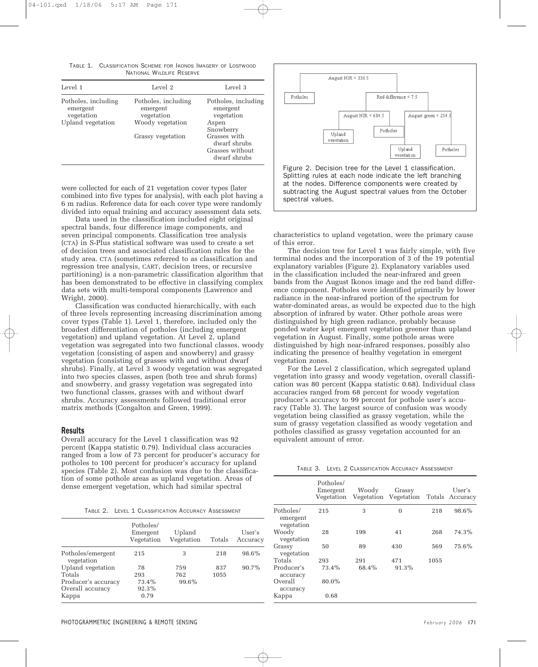TABLE 1. CLASSIFICATION SCHEME FOR IKONOS IMAGERY OF LOSTWOOD NATIONAL WILDLIFE RESERVE

| Level 1                                                            | Level 2                                                           | Level 3                                                                      |  |  |
|--------------------------------------------------------------------|-------------------------------------------------------------------|------------------------------------------------------------------------------|--|--|
| Potholes, including<br>emergent<br>vegetation<br>Upland vegetation | Potholes, including<br>emergent<br>vegetation<br>Woody vegetation | Potholes, including<br>emergent<br>vegetation<br>Aspen                       |  |  |
|                                                                    | Grassy vegetation                                                 | Snowberry<br>Grasses with<br>dwarf shrubs<br>Grasses without<br>dwarf shrubs |  |  |

were collected for each of 21 vegetation cover types (later combined into five types for analysis), with each plot having a 6 m radius. Reference data for each cover type were randomly divided into equal training and accuracy assessment data sets.

Data used in the classification included eight original spectral bands, four difference image components, and seven principal components. Classification tree analysis (CTA) in S-Plus statistical software was used to create a set of decision trees and associated classification rules for the study area. CTA (sometimes referred to as classification and regression tree analysis, CART, decision trees, or recursive partitioning) is a non-parametric classification algorithm that has been demonstrated to be effective in classifying complex data sets with multi-temporal components (Lawrence and Wright, 2000).

Classification was conducted hierarchically, with each of three levels representing increasing discrimination among cover types (Table 1). Level 1, therefore, included only the broadest differentiation of potholes (including emergent vegetation) and upland vegetation. At Level 2, upland vegetation was segregated into two functional classes, woody vegetation (consisting of aspen and snowberry) and grassy vegetation (consisting of grasses with and without dwarf shrubs). Finally, at Level 3 woody vegetation was segregated into two species classes, aspen (both tree and shrub forms) and snowberry, and grassy vegetation was segregated into two functional classes, grasses with and without dwarf shrubs. Accuracy assessments followed traditional error matrix methods (Congalton and Green, 1999).

# Results

Overall accuracy for the Level 1 classification was 92 percent (Kappa statistic 0.79). Individual class accuracies ranged from a low of 73 percent for producer's accuracy for potholes to 100 percent for producer's accuracy for upland species (Table 2). Most confusion was due to the classification of some pothole areas as upland vegetation. Areas of dense emergent vegetation, which had similar spectral



at the nodes. Difference components were created by subtracting the August spectral values from the October spectral values.

characteristics to upland vegetation, were the primary cause of this error.

The decision tree for Level 1 was fairly simple, with five terminal nodes and the incorporation of 3 of the 19 potential explanatory variables (Figure 2). Explanatory variables used in the classification included the near-infrared and green bands from the August Ikonos image and the red band difference component. Potholes were identified primarily by lower radiance in the near-infrared portion of the spectrum for water-dominated areas, as would be expected due to the high absorption of infrared by water. Other pothole areas were distinguished by high green radiance, probably because ponded water kept emergent vegetation greener than upland vegetation in August. Finally, some pothole areas were distinguished by high near-infrared responses, possibly also indicating the presence of healthy vegetation in emergent vegetation zones.

For the Level 2 classification, which segregated upland vegetation into grassy and woody vegetation, overall classification was 80 percent (Kappa statistic 0.68). Individual class accuracies ranged from 68 percent for woody vegetation producer's accuracy to 99 percent for pothole user's accuracy (Table 3). The largest source of confusion was woody vegetation being classified as grassy vegetation, while the sum of grassy vegetation classified as woody vegetation and potholes classified as grassy vegetation accounted for an equivalent amount of error.

|  | TABLE 3. LEVEL 2 CLASSIFICATION ACCURACY ASSESSMENT |
|--|-----------------------------------------------------|
|--|-----------------------------------------------------|

Potholes/ 215 3 0 218 98.6%

Woody 28 199 41 268 74.3%

Grassy 50 89 430 569 75.6%

Totals 293 291 471 1055

Emergent Woody Grassy User's

Vegetation Vegetation Vegetation Totals Accuracy

Potholes/

emergent vegetation

vegetation

vegetation

Producer's accuracy Overall 80.0%

accuracy Kappa 0.68

| TABLE 2. LEVEL 1 CLASSIFICATION ACCURACY ASSESSMENT |
|-----------------------------------------------------|
|-----------------------------------------------------|

|                                                    | Potholes/<br>Emergent<br>Vegetation | Upland<br>Vegetation | Totals      | User's<br>Accuracy |
|----------------------------------------------------|-------------------------------------|----------------------|-------------|--------------------|
| Potholes/emergent<br>vegetation                    | 215                                 | 3                    | 218         | 98.6%              |
| Upland vegetation<br>Totals<br>Producer's accuracy | 78<br>293<br>73.4%<br>92.3%         | 759<br>762<br>99.6%  | 837<br>1055 | 90.7%              |
| Overall accuracy<br>Kappa                          | 0.79                                |                      |             |                    |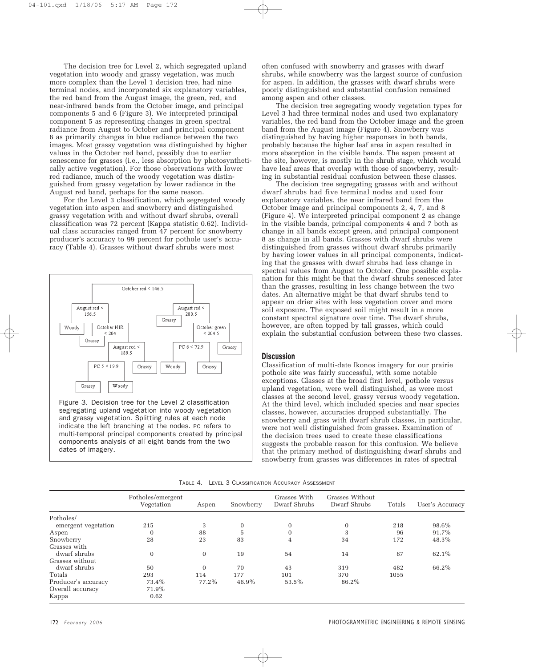The decision tree for Level 2, which segregated upland vegetation into woody and grassy vegetation, was much more complex than the Level 1 decision tree, had nine terminal nodes, and incorporated six explanatory variables, the red band from the August image, the green, red, and near-infrared bands from the October image, and principal components 5 and 6 (Figure 3). We interpreted principal component 5 as representing changes in green spectral radiance from August to October and principal component 6 as primarily changes in blue radiance between the two images. Most grassy vegetation was distinguished by higher values in the October red band, possibly due to earlier senescence for grasses (i.e., less absorption by photosynthetically active vegetation). For those observations with lower red radiance, much of the woody vegetation was distinguished from grassy vegetation by lower radiance in the August red band, perhaps for the same reason.

For the Level 3 classification, which segregated woody vegetation into aspen and snowberry and distinguished grassy vegetation with and without dwarf shrubs, overall classification was 72 percent (Kappa statistic 0.62). Individual class accuracies ranged from 47 percent for snowberry producer's accuracy to 99 percent for pothole user's accuracy (Table 4). Grasses without dwarf shrubs were most



Figure 3. Decision tree for the Level 2 classification segregating upland vegetation into woody vegetation and grassy vegetation. Splitting rules at each node indicate the left branching at the nodes. PC refers to multi-temporal principal components created by principal components analysis of all eight bands from the two dates of imagery.

often confused with snowberry and grasses with dwarf shrubs, while snowberry was the largest source of confusion for aspen. In addition, the grasses with dwarf shrubs were poorly distinguished and substantial confusion remained among aspen and other classes.

The decision tree segregating woody vegetation types for Level 3 had three terminal nodes and used two explanatory variables, the red band from the October image and the green band from the August image (Figure 4). Snowberry was distinguished by having higher responses in both bands, probably because the higher leaf area in aspen resulted in more absorption in the visible bands. The aspen present at the site, however, is mostly in the shrub stage, which would have leaf areas that overlap with those of snowberry, resulting in substantial residual confusion between these classes.

The decision tree segregating grasses with and without dwarf shrubs had five terminal nodes and used four explanatory variables, the near infrared band from the October image and principal components 2, 4, 7, and 8 (Figure 4). We interpreted principal component 2 as change in the visible bands, principal components 4 and 7 both as change in all bands except green, and principal component 8 as change in all bands. Grasses with dwarf shrubs were distinguished from grasses without dwarf shrubs primarily by having lower values in all principal components, indicating that the grasses with dwarf shrubs had less change in spectral values from August to October. One possible explanation for this might be that the dwarf shrubs senesced later than the grasses, resulting in less change between the two dates. An alternative might be that dwarf shrubs tend to appear on drier sites with less vegetation cover and more soil exposure. The exposed soil might result in a more constant spectral signature over time. The dwarf shrubs, however, are often topped by tall grasses, which could explain the substantial confusion between these two classes.

# **Discussion**

Classification of multi-date Ikonos imagery for our prairie pothole site was fairly successful, with some notable exceptions. Classes at the broad first level, pothole versus upland vegetation, were well distinguished, as were most classes at the second level, grassy versus woody vegetation. At the third level, which included species and near species classes, however, accuracies dropped substantially. The snowberry and grass with dwarf shrub classes, in particular, were not well distinguished from grasses. Examination of the decision trees used to create these classifications suggests the probable reason for this confusion. We believe that the primary method of distinguishing dwarf shrubs and snowberry from grasses was differences in rates of spectral

| TABLE 4. LEVEL 3 CLASSIFICATION ACCURACY ASSESSMENT |  |  |  |  |
|-----------------------------------------------------|--|--|--|--|
|-----------------------------------------------------|--|--|--|--|

|                     | Potholes/emergent<br>Vegetation | Aspen        | Snowberry | Grasses With<br>Dwarf Shrubs | Grasses Without<br>Dwarf Shrubs | Totals | User's Accuracy |
|---------------------|---------------------------------|--------------|-----------|------------------------------|---------------------------------|--------|-----------------|
| Potholes/           |                                 |              |           |                              |                                 |        |                 |
| emergent vegetation | 215                             | 3            | $\bf{0}$  | 0                            | $\mathbf{0}$                    | 218    | 98.6%           |
| Aspen               | $\overline{0}$                  | 88           | 5         | $\Omega$                     | 3                               | 96     | 91.7%           |
| Snowberry           | 28                              | 23           | 83        | 4                            | 34                              | 172    | 48.3%           |
| Grasses with        |                                 |              |           |                              |                                 |        |                 |
| dwarf shrubs        | $\mathbf{0}$                    | $\mathbf{0}$ | 19        | 54                           | 14                              | 87     | 62.1%           |
| Grasses without     |                                 |              |           |                              |                                 |        |                 |
| dwarf shrubs        | 50                              | $\Omega$     | 70        | 43                           | 319                             | 482    | 66.2%           |
| Totals              | 293                             | 114          | 177       | 101                          | 370                             | 1055   |                 |
| Producer's accuracy | 73.4%                           | 77.2%        | 46.9%     | 53.5%                        | 86.2%                           |        |                 |
| Overall accuracy    | 71.9%                           |              |           |                              |                                 |        |                 |
| Kappa               | 0.62                            |              |           |                              |                                 |        |                 |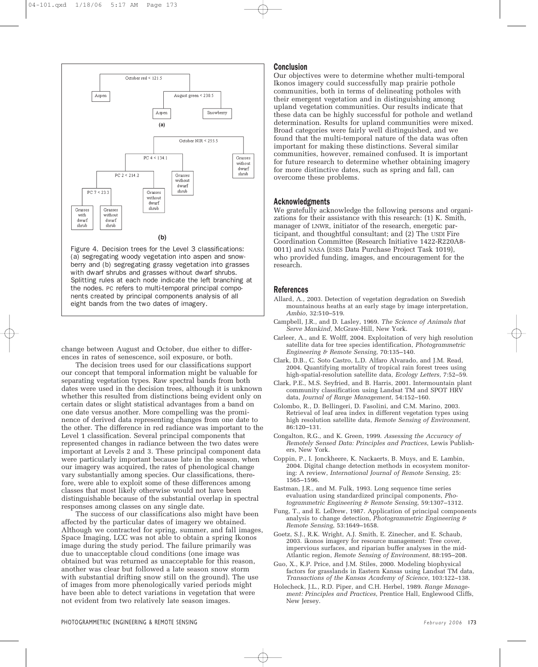

Figure 4. Decision trees for the Level 3 classifications: (a) segregating woody vegetation into aspen and snowberry and (b) segregating grassy vegetation into grasses with dwarf shrubs and grasses without dwarf shrubs. Splitting rules at each node indicate the left branching at the nodes. PC refers to multi-temporal principal components created by principal components analysis of all eight bands from the two dates of imagery.

change between August and October, due either to differences in rates of senescence, soil exposure, or both.

The decision trees used for our classifications support our concept that temporal information might be valuable for separating vegetation types. Raw spectral bands from both dates were used in the decision trees, although it is unknown whether this resulted from distinctions being evident only on certain dates or slight statistical advantages from a band on one date versus another. More compelling was the prominence of derived data representing changes from one date to the other. The difference in red radiance was important to the Level 1 classification. Several principal components that represented changes in radiance between the two dates were important at Levels 2 and 3. These principal component data were particularly important because late in the season, when our imagery was acquired, the rates of phenological change vary substantially among species. Our classifications, therefore, were able to exploit some of these differences among classes that most likely otherwise would not have been distinguishable because of the substantial overlap in spectral responses among classes on any single date.

The success of our classifications also might have been affected by the particular dates of imagery we obtained. Although we contracted for spring, summer, and fall images, Space Imaging, LCC was not able to obtain a spring Ikonos image during the study period. The failure primarily was due to unacceptable cloud conditions (one image was obtained but was returned as unacceptable for this reason, another was clear but followed a late season snow storm with substantial drifting snow still on the ground). The use of images from more phenologically varied periods might have been able to detect variations in vegetation that were not evident from two relatively late season images.

# Conclusion

Our objectives were to determine whether multi-temporal Ikonos imagery could successfully map prairie pothole communities, both in terms of delineating potholes with their emergent vegetation and in distinguishing among upland vegetation communities. Our results indicate that these data can be highly successful for pothole and wetland determination. Results for upland communities were mixed. Broad categories were fairly well distinguished, and we found that the multi-temporal nature of the data was often important for making these distinctions. Several similar communities, however, remained confused. It is important for future research to determine whether obtaining imagery for more distinctive dates, such as spring and fall, can overcome these problems.

#### Acknowledgments

We gratefully acknowledge the following persons and organizations for their assistance with this research: (1) K. Smith, manager of LNWR, initiator of the research, energetic participant, and thoughtful consultant; and (2) The USDI Fire Coordination Committee (Research Initiative 1422-R220A8- 0011) and NASA (ESES Data Purchase Project Task 1019), who provided funding, images, and encouragement for the research.

#### References

- Allard, A., 2003. Detection of vegetation degradation on Swedish mountainous heaths at an early stage by image interpretation, *Ambio*, 32:510–519.
- Campbell, J.R., and D. Lasley, 1969. *The Science of Animals that Serve Mankind*, McGraw-Hill, New York.
- Carleer, A., and E. Wolff, 2004. Exploitation of very high resolution satellite data for tree species identification, *Photogrammetric Engineering & Remote Sensing*, 70:135–140.
- Clark, D.B., C. Soto Castro, L.D. Alfaro Alvarado, and J.M. Read, 2004. Quantifying mortality of tropical rain forest trees using high-spatial-resolution satellite data, *Ecology Letters*, 7:52–59.
- Clark, P.E., M.S. Seyfried, and B. Harris, 2001. Intermountain plant community classification using Landsat TM and SPOT HRV data, *Journal of Range Management*, 54:152–160.
- Colombo, R., D. Bellingeri, D. Fasolini, and C.M. Marino, 2003. Retrieval of leaf area index in different vegetation types using high resolution satellite data, *Remote Sensing of Environment*, 86:120–131.
- Congalton, R.G., and K. Green, 1999. *Assessing the Accuracy of Remotely Sensed Data: Principles and Practices*, Lewis Publishers, New York.
- Coppin, P., I. Jonckheere, K. Nackaerts, B. Muys, and E. Lambin, 2004. Digital change detection methods in ecosystem monitoring: A review, *International Journal of Remote Sensing*, 25: 1565–1596.
- Eastman, J.R., and M. Fulk, 1993. Long sequence time series evaluation using standardized principal components, *Photogrammetric Engineering & Remote Sensing*, 59:1307–1312.
- Fung, T., and E. LeDrew, 1987. Application of principal components analysis to change detection, *Photogrammetric Engineering & Remote Sensing*, 53:1649–1658.
- Goetz, S.J., R.K. Wright, A.J. Smith, E. Zinecher, and E. Schaub, 2003. ikonos imagery for resource management: Tree cover, impervious surfaces, and riparian buffer analyses in the mid-Atlantic region, *Remote Sensing of Environment*, 88:195–208.
- Guo, X., K.P. Price, and J.M. Stiles, 2000. Modeling biophysical factors for grasslands in Eastern Kansas using Landsat TM data, *Transactions of the Kansas Academy of Science*, 103:122–138.
- Holecheck, J.L., R.D. Piper, and C.H. Herbel, 1989. *Range Management: Principles and Practices*, Prentice Hall, Englewood Cliffs, New Jersey.